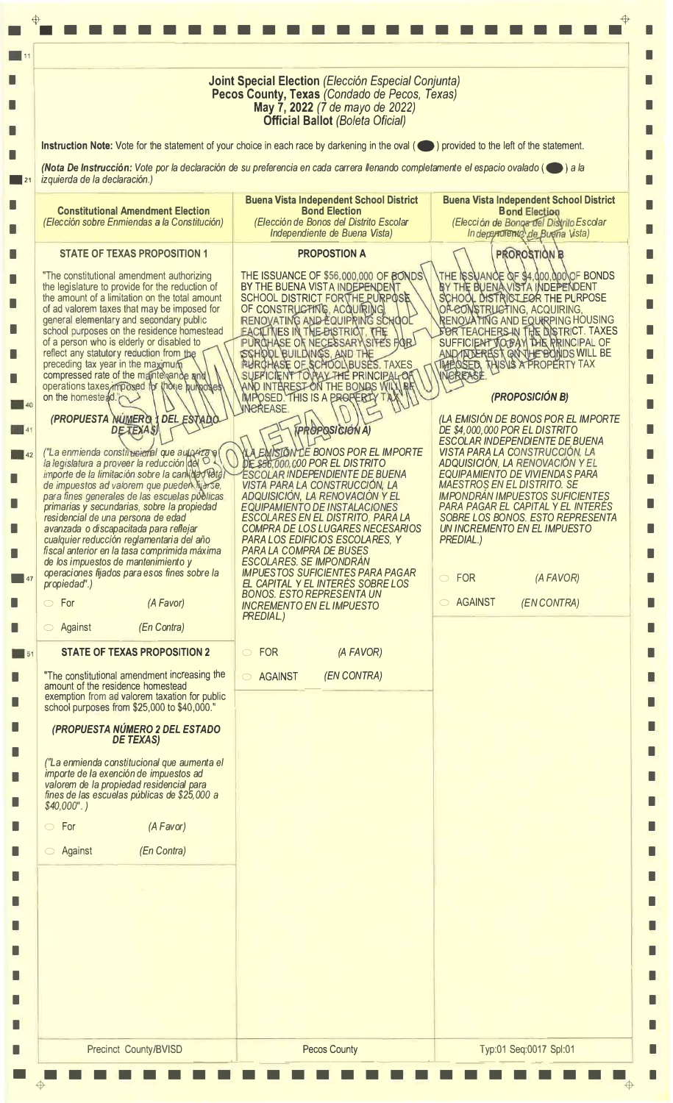|                                                                                                                                                                                                                                                                                                                                                                                                                                                                                                                                                                                                                                                                                                                                                                                                                                                                                                                                                                                                                                                                                                                                                                                                                                                                                                                                                                                                                                                                                                                                                                                                                                                                                                                                                                                                                                 | <b>Joint Special Election (Elección Especial Conjunta)</b><br>Pecos County, Texas (Condado de Pecos, Texas)<br>May 7, 2022 (7 de mayo de 2022)<br><b>Official Ballot (Boleta Oficial)</b>                                                                                                                                                                                                                                                                                                                                                                                                                                                                                                                                                                                                                                                                                                                                                                                                                                                                                                                                                                                                                                          |                                                                                                                                                                                                                                                                                                                                                                                                                                                                                                                                                                                                                                                                                                                                                                                                                                                                                       |
|---------------------------------------------------------------------------------------------------------------------------------------------------------------------------------------------------------------------------------------------------------------------------------------------------------------------------------------------------------------------------------------------------------------------------------------------------------------------------------------------------------------------------------------------------------------------------------------------------------------------------------------------------------------------------------------------------------------------------------------------------------------------------------------------------------------------------------------------------------------------------------------------------------------------------------------------------------------------------------------------------------------------------------------------------------------------------------------------------------------------------------------------------------------------------------------------------------------------------------------------------------------------------------------------------------------------------------------------------------------------------------------------------------------------------------------------------------------------------------------------------------------------------------------------------------------------------------------------------------------------------------------------------------------------------------------------------------------------------------------------------------------------------------------------------------------------------------|------------------------------------------------------------------------------------------------------------------------------------------------------------------------------------------------------------------------------------------------------------------------------------------------------------------------------------------------------------------------------------------------------------------------------------------------------------------------------------------------------------------------------------------------------------------------------------------------------------------------------------------------------------------------------------------------------------------------------------------------------------------------------------------------------------------------------------------------------------------------------------------------------------------------------------------------------------------------------------------------------------------------------------------------------------------------------------------------------------------------------------------------------------------------------------------------------------------------------------|---------------------------------------------------------------------------------------------------------------------------------------------------------------------------------------------------------------------------------------------------------------------------------------------------------------------------------------------------------------------------------------------------------------------------------------------------------------------------------------------------------------------------------------------------------------------------------------------------------------------------------------------------------------------------------------------------------------------------------------------------------------------------------------------------------------------------------------------------------------------------------------|
| Instruction Note: Vote for the statement of your choice in each race by darkening in the oval (O) provided to the left of the statement.<br>(Nota De Instrucción: Vote por la declaración de su preferencia en cada carrera llenando completamente el espacio ovalado ( C ) a la<br>izquierda de la declaración.)                                                                                                                                                                                                                                                                                                                                                                                                                                                                                                                                                                                                                                                                                                                                                                                                                                                                                                                                                                                                                                                                                                                                                                                                                                                                                                                                                                                                                                                                                                               |                                                                                                                                                                                                                                                                                                                                                                                                                                                                                                                                                                                                                                                                                                                                                                                                                                                                                                                                                                                                                                                                                                                                                                                                                                    |                                                                                                                                                                                                                                                                                                                                                                                                                                                                                                                                                                                                                                                                                                                                                                                                                                                                                       |
| <b>Constitutional Amendment Election</b><br>(Elección sobre Enmiendas a la Constitución)                                                                                                                                                                                                                                                                                                                                                                                                                                                                                                                                                                                                                                                                                                                                                                                                                                                                                                                                                                                                                                                                                                                                                                                                                                                                                                                                                                                                                                                                                                                                                                                                                                                                                                                                        | <b>Buena Vista Independent School District</b><br><b>Bond Election</b><br>(Elección de Bonos del Distrito Escolar<br>Independiente de Buena Vista)                                                                                                                                                                                                                                                                                                                                                                                                                                                                                                                                                                                                                                                                                                                                                                                                                                                                                                                                                                                                                                                                                 | <b>Buena Vista Independent School District</b><br><b>Bond Election</b><br>(Elección de Bonos del Distrito Escolar<br>Independiente de Buena Vista)                                                                                                                                                                                                                                                                                                                                                                                                                                                                                                                                                                                                                                                                                                                                    |
| <b>STATE OF TEXAS PROPOSITION 1</b><br>"The constitutional amendment authorizing<br>the legislature to provide for the reduction of<br>the amount of a limitation on the total amount<br>of ad valorem taxes that may be imposed for<br>general elementary and secondary public<br>school purposes on the residence homestead<br>of a person who is elderly or disabled to<br>reflect any statutory reduction from the<br>preceding tax year in the maximum<br>compressed rate of the maintenance and<br>operations taxes imposed for those humoses<br>on the homestead."<br>(PROPUESTA NÚMERO 1 DEL ESTADO<br><b>DETEXAS</b><br>("La enmienda constitucienal que au perza e)<br>la legislatura a proveer la reducción del<br>importe de la limitación sobre la canvidad tetal<br>de impuestos ad valorem que pueden luja se,<br>para fines generales de las escuelas públicas<br>primarias y secundarias, sobre la propiedad<br>residencial de una persona de edad<br>avanzada o discapacitada para reflejar<br>cualquier reducción reglamentaria del año<br>fiscal anterior en la tasa comprimida máxima<br>de los impuestos de mantenimiento y<br>operaciones fijados para esos fines sobre la<br>propiedad".)<br>$\circ$ For<br>(A Favor)<br>(En Contra)<br>$\circ$ Against<br><b>STATE OF TEXAS PROPOSITION 2</b><br>"The constitutional amendment increasing the<br>amount of the residence homestead<br>exemption from ad valorem taxation for public<br>school purposes from \$25,000 to \$40,000."<br>(PROPUESTA NÚMERO 2 DEL ESTADO<br><b>DE TEXAS)</b><br>("La enmienda constitucional que aumenta el<br>importe de la exención de impuestos ad<br>valorem de la propiedad residencial para<br>fines de las escuelas públicas de \$25,000 a<br>$$40,000".$ )<br>$\circ$ For<br>(A Favor)<br>(En Contra)<br>○ Against | <b>PROPOSTION A</b><br>THE ISSUANCE OF \$56,000,000 OF BONDS<br>BY THE BUENA VISTA INDEPENDENT<br>SCHOOL DISTRICT FOR THE PURPOSE<br>OF CONSTRUCTING, ACQUIRING,<br>RENOVATING AND EQUIPRING SCHOOL<br><b>EACILITIES IN THE BISTRICT, THE</b><br>PURCHASE OF NECESSARY SITES FOR<br>SCHOOL BUILDINGS, AND THE<br><b>PURCHASE OF SCHOOL BUSES. TAXES</b><br>SUEFICIENT TO PAY THE PRINCIPAL OF<br>AND INTEREST ON THE BONDS WILL BE<br><b>IMPOSED. THIS IS A PROPERTY TA</b><br><b><i>INCREASE</i></b><br><b>PROPOSICION A)</b><br>A EMISION DE BONOS POR EL IMPORTE<br>DE \$56,000,000 POR EL DISTRITO<br><b>ESCOLAR INDEPENDIENTE DE BUENA</b><br><b>VISTA PARA LA CONSTRUCCIÓN, LA</b><br>ADQUISICIÓN, LA RENOVACIÓN Y EL<br><b>EQUIPAMIENTO DE INSTALACIONES</b><br><b>ESCOLARES EN EL DISTRITO, PARA LA</b><br><b>COMPRA DE LOS LUGARES NECESARIOS</b><br><b>PARA LOS EDIFICIOS ESCOLARES, Y</b><br><b>PARA LA COMPRA DE BUSES</b><br><b>ESCOLARES. SE IMPONDRAN</b><br><b>IMPUESTOS SUFICIENTES PARA PAGAR</b><br>EL CAPITAL Y EL INTERÉS SOBRE LOS<br><b>BONOS. ESTO REPRESENTA UN</b><br><b>INCREMENTO EN EL IMPUESTO</b><br>PREDIAL.)<br><b>FOR</b><br>(A FAVOR)<br>$\circ$<br>(EN CONTRA)<br><b>AGAINST</b><br>$\bigcirc$ | <b>PROROSTION B</b><br>THE ISSUANCE OF \$4,000,000 OF BONDS<br>BY THE BUENAVISTA INDEPENDENT<br>SCHOOL DISTRICT EQR THE PURPOSE<br>OF CONSTRUCTING, ACQUIRING,<br><b>RENOVATING AND EQUIRPING HOUSING</b><br>FOR TEACHERS IN THE DISTRICT. TAXES<br>SUFFICIENT JOBAY THE RRINCIPAL OF<br>AND TATURALS TO QUILLE BONDS WILL BE<br>THEOSED, THIS US A PROPERTY TAX<br>NEREASE<br>(PROPOSICIÓN B)<br>(LA EMISIÓN DE BONOS POR EL IMPORTE<br>DE \$4,000,000 POR EL DISTRITO<br><b>ESCOLAR INDEPENDIENTE DE BUENA</b><br>VISTA PARA LA CONSTRUCCIÓN, LA<br><b>ADQUISICIÓN, LA RENOVACIÓN Y EL</b><br>EQUIPAMIENTO DE VIVIENDAS PARA<br><b>MAESTROS EN EL DISTRITO. SE</b><br><b>IMPONDRÁN IMPUESTOS SUFICIENTES</b><br>PARA PAGAR EL CAPITAL Y EL INTERÉS<br>SOBRE LOS BONOS. ESTO REPRESENTA<br>UN INCREMENTO EN EL IMPUESTO<br>PREDIAL.)<br>O FOR<br>(A FAVOR)<br>AGAINST<br>(EN CONTRA) |
|                                                                                                                                                                                                                                                                                                                                                                                                                                                                                                                                                                                                                                                                                                                                                                                                                                                                                                                                                                                                                                                                                                                                                                                                                                                                                                                                                                                                                                                                                                                                                                                                                                                                                                                                                                                                                                 |                                                                                                                                                                                                                                                                                                                                                                                                                                                                                                                                                                                                                                                                                                                                                                                                                                                                                                                                                                                                                                                                                                                                                                                                                                    |                                                                                                                                                                                                                                                                                                                                                                                                                                                                                                                                                                                                                                                                                                                                                                                                                                                                                       |

4 4